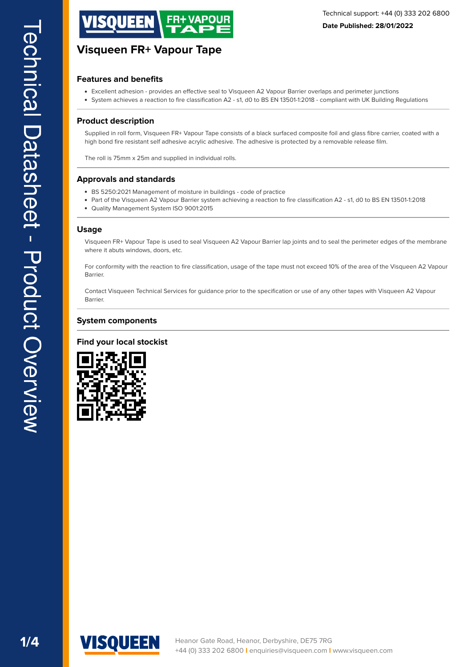

#### **Features and benefits**

- Excellent adhesion provides an efective seal to Visqueen A2 Vapour Barrier overlaps and perimeter junctions
- System achieves a reaction to fire classification A2 s1, d0 to BS EN 13501-1:2018 compliant with UK Building Regulations

#### **Product description**

Supplied in roll form, Visqueen FR+ Vapour Tape consists of a black surfaced composite foil and glass fbre carrier, coated with a high bond fre resistant self adhesive acrylic adhesive. The adhesive is protected by a removable release flm.

The roll is 75mm x 25m and supplied in individual rolls.

#### **Approvals and standards**

- BS 5250:2021 Management of moisture in buildings code of practice
- Part of the Visqueen A2 Vapour Barrier system achieving a reaction to fire classification A2 s1, d0 to BS EN 13501-1:2018
- Quality Management System ISO 9001:2015

#### **Usage**

Visqueen FR+ Vapour Tape is used to seal Visqueen A2 Vapour Barrier lap joints and to seal the perimeter edges of the membrane where it abuts windows, doors, etc.

For conformity with the reaction to fre classifcation, usage of the tape must not exceed 10% of the area of the Visqueen A2 Vapour Barrier.

Contact Visqueen Technical Services for guidance prior to the specification or use of any other tapes with Visqueen A2 Vapour Barrier.

#### **System components**

#### **Find your local stockist**



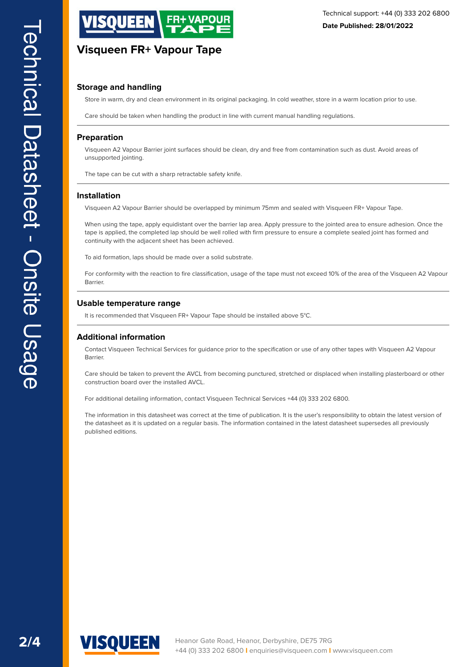

#### **Storage and handling**

Store in warm, dry and clean environment in its original packaging. In cold weather, store in a warm location prior to use.

Care should be taken when handling the product in line with current manual handling regulations.

#### **Preparation**

Visqueen A2 Vapour Barrier joint surfaces should be clean, dry and free from contamination such as dust. Avoid areas of unsupported jointing.

The tape can be cut with a sharp retractable safety knife.

#### **Installation**

Visqueen A2 Vapour Barrier should be overlapped by minimum 75mm and sealed with Visqueen FR+ Vapour Tape.

When using the tape, apply equidistant over the barrier lap area. Apply pressure to the jointed area to ensure adhesion. Once the tape is applied, the completed lap should be well rolled with frm pressure to ensure a complete sealed joint has formed and continuity with the adjacent sheet has been achieved.

To aid formation, laps should be made over a solid substrate.

For conformity with the reaction to fre classifcation, usage of the tape must not exceed 10% of the area of the Visqueen A2 Vapour Barrier.

#### **Usable temperature range**

It is recommended that Visqueen FR+ Vapour Tape should be installed above 5°C.

#### **Additional information**

Contact Visqueen Technical Services for guidance prior to the specifcation or use of any other tapes with Visqueen A2 Vapour Barrier.

Care should be taken to prevent the AVCL from becoming punctured, stretched or displaced when installing plasterboard or other construction board over the installed AVCL.

For additional detailing information, contact Visqueen Technical Services +44 (0) 333 202 6800.

The information in this datasheet was correct at the time of publication. It is the user's responsibility to obtain the latest version of the datasheet as it is updated on a regular basis. The information contained in the latest datasheet supersedes all previously published editions.

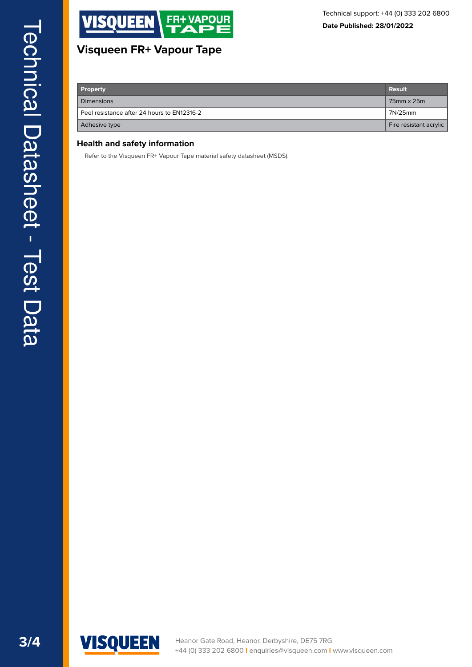

| Property                                    | <b>Result</b>          |
|---------------------------------------------|------------------------|
| <b>Dimensions</b>                           | 75mm x 25m             |
| Peel resistance after 24 hours to EN12316-2 | 7N/25mm                |
| Adhesive type                               | Fire resistant acrylic |

## **Health and safety information**

Refer to the Visqueen FR+ Vapour Tape material safety datasheet (MSDS).